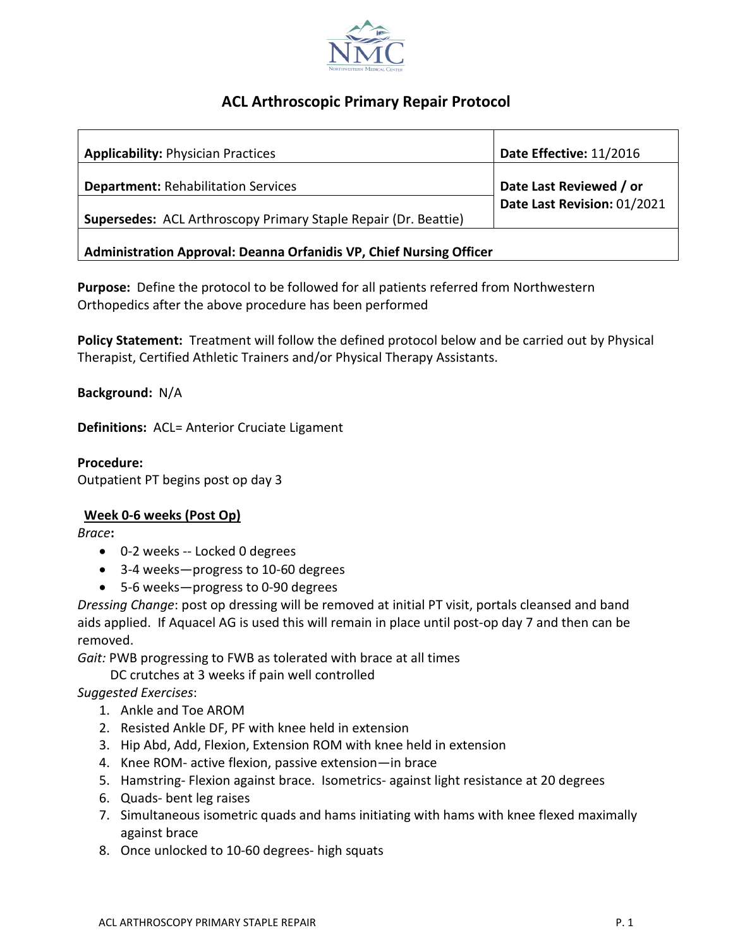

## **ACL Arthroscopic Primary Repair Protocol**

| <b>Applicability: Physician Practices</b>                              | Date Effective: 11/2016                                |
|------------------------------------------------------------------------|--------------------------------------------------------|
| <b>Department: Rehabilitation Services</b>                             | Date Last Reviewed / or<br>Date Last Revision: 01/2021 |
| <b>Supersedes:</b> ACL Arthroscopy Primary Staple Repair (Dr. Beattie) |                                                        |
| Administration Approval: Deanna Orfanidis VP, Chief Nursing Officer    |                                                        |

**Purpose:** Define the protocol to be followed for all patients referred from Northwestern Orthopedics after the above procedure has been performed

**Policy Statement:** Treatment will follow the defined protocol below and be carried out by Physical Therapist, Certified Athletic Trainers and/or Physical Therapy Assistants.

**Background:** N/A

**Definitions:** ACL= Anterior Cruciate Ligament

## **Procedure:**

Outpatient PT begins post op day 3

## **Week 0-6 weeks (Post Op)**

*Brace***:**

- 0-2 weeks -- Locked 0 degrees
- 3-4 weeks—progress to 10-60 degrees
- 5-6 weeks—progress to 0-90 degrees

*Dressing Change*: post op dressing will be removed at initial PT visit, portals cleansed and band aids applied. If Aquacel AG is used this will remain in place until post-op day 7 and then can be removed.

*Gait:* PWB progressing to FWB as tolerated with brace at all times

DC crutches at 3 weeks if pain well controlled

*Suggested Exercises*:

- 1. Ankle and Toe AROM
- 2. Resisted Ankle DF, PF with knee held in extension
- 3. Hip Abd, Add, Flexion, Extension ROM with knee held in extension
- 4. Knee ROM- active flexion, passive extension—in brace
- 5. Hamstring- Flexion against brace. Isometrics- against light resistance at 20 degrees
- 6. Quads- bent leg raises
- 7. Simultaneous isometric quads and hams initiating with hams with knee flexed maximally against brace
- 8. Once unlocked to 10-60 degrees- high squats